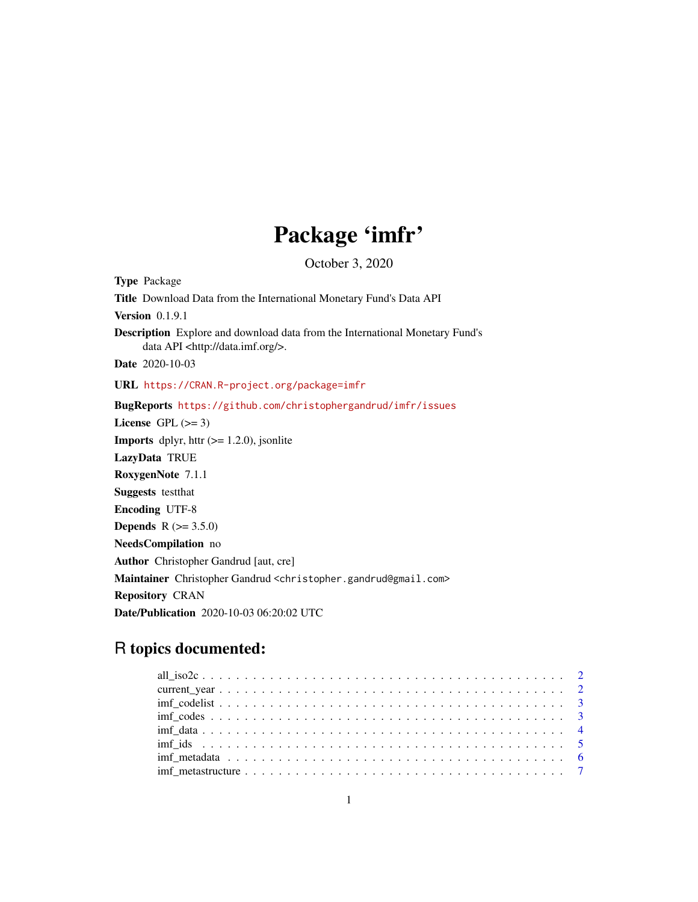## Package 'imfr'

October 3, 2020

Type Package Title Download Data from the International Monetary Fund's Data API Version 0.1.9.1 Description Explore and download data from the International Monetary Fund's data API <http://data.imf.org/>. Date 2020-10-03 URL <https://CRAN.R-project.org/package=imfr> BugReports <https://github.com/christophergandrud/imfr/issues> License GPL  $(>= 3)$ **Imports** dplyr, httr  $(>= 1.2.0)$ , jsonlite LazyData TRUE RoxygenNote 7.1.1 Suggests testthat Encoding UTF-8 **Depends**  $R (= 3.5.0)$ NeedsCompilation no Author Christopher Gandrud [aut, cre] Maintainer Christopher Gandrud <christopher.gandrud@gmail.com> Repository CRAN Date/Publication 2020-10-03 06:20:02 UTC

### R topics documented: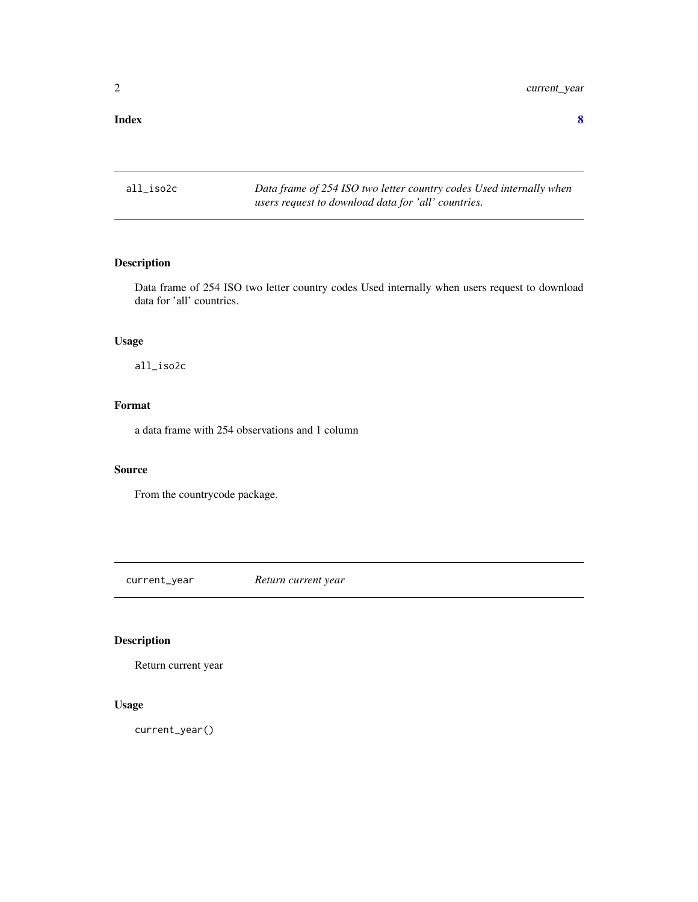#### <span id="page-1-0"></span>**Index** [8](#page-7-0) **8**

all\_iso2c *Data frame of 254 ISO two letter country codes Used internally when users request to download data for 'all' countries.*

#### Description

Data frame of 254 ISO two letter country codes Used internally when users request to download data for 'all' countries.

#### Usage

all\_iso2c

#### Format

a data frame with 254 observations and 1 column

#### Source

From the countrycode package.

current\_year *Return current year*

#### Description

Return current year

#### Usage

current\_year()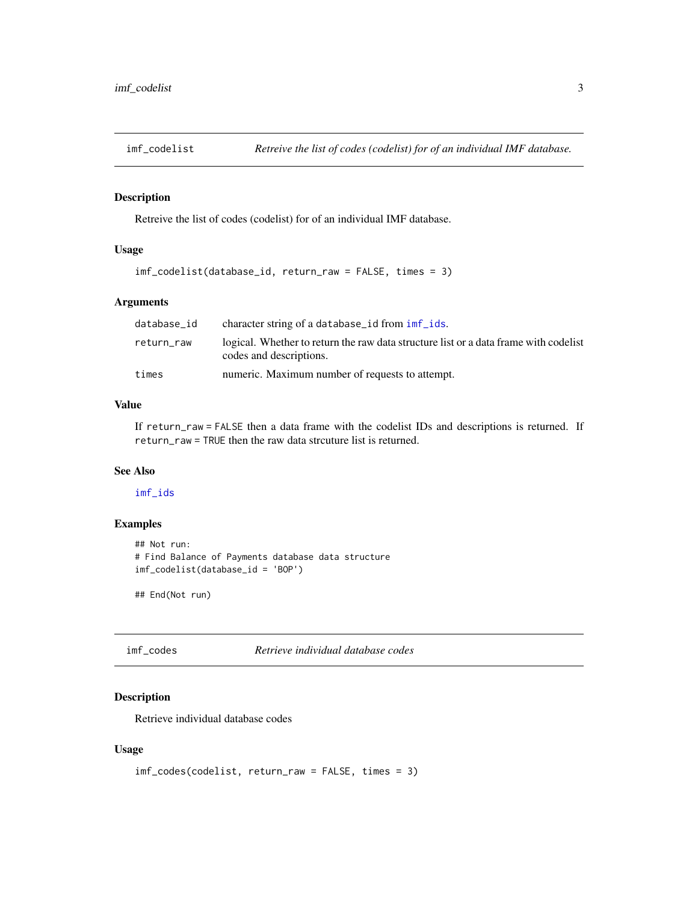<span id="page-2-1"></span><span id="page-2-0"></span>

#### Description

Retreive the list of codes (codelist) for of an individual IMF database.

#### Usage

```
imf_codelist(database_id, return_raw = FALSE, times = 3)
```
#### Arguments

| database id | character string of a database_id from imf_ids.                                                                 |
|-------------|-----------------------------------------------------------------------------------------------------------------|
| return_raw  | logical. Whether to return the raw data structure list or a data frame with codelist<br>codes and descriptions. |
| times       | numeric. Maximum number of requests to attempt.                                                                 |

#### Value

If return\_raw = FALSE then a data frame with the codelist IDs and descriptions is returned. If return\_raw = TRUE then the raw data strcuture list is returned.

#### See Also

[imf\\_ids](#page-4-1)

#### Examples

```
## Not run:
# Find Balance of Payments database data structure
imf_codelist(database_id = 'BOP')
```
## End(Not run)

<span id="page-2-2"></span>imf\_codes *Retrieve individual database codes*

#### Description

Retrieve individual database codes

#### Usage

```
imf_codes(codelist, return_raw = FALSE, times = 3)
```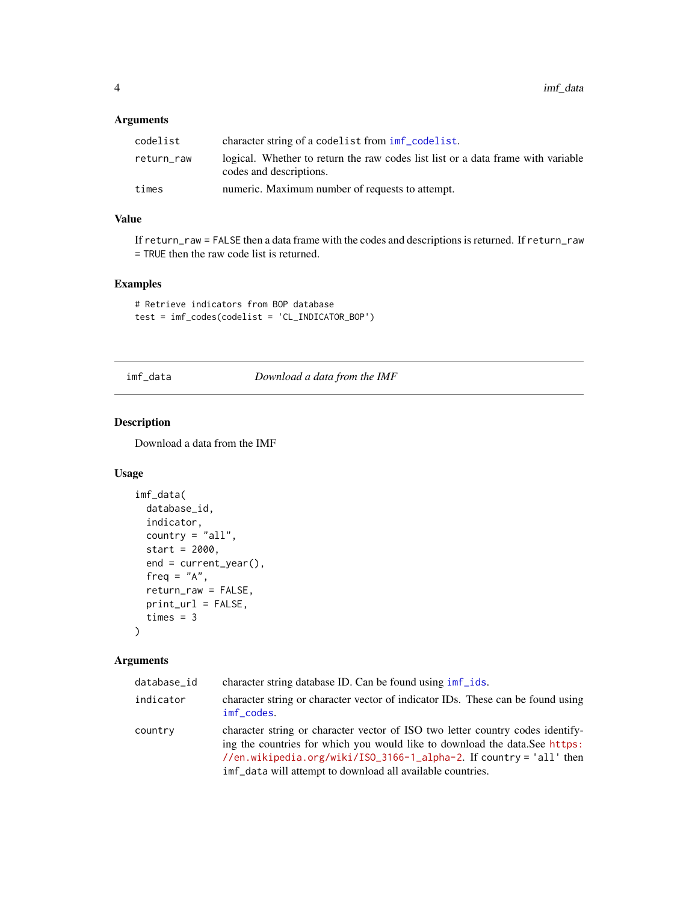#### <span id="page-3-0"></span>Arguments

| codelist   | character string of a codelist from $imf_{\text{co}}$ codelist.                                             |
|------------|-------------------------------------------------------------------------------------------------------------|
| return_raw | logical. Whether to return the raw codes list list or a data frame with variable<br>codes and descriptions. |
| times      | numeric. Maximum number of requests to attempt.                                                             |

#### Value

If return\_raw = FALSE then a data frame with the codes and descriptions is returned. If return\_raw = TRUE then the raw code list is returned.

#### Examples

```
# Retrieve indicators from BOP database
test = imf_codes(codelist = 'CL_INDICATOR_BOP')
```
imf\_data *Download a data from the IMF*

#### Description

Download a data from the IMF

#### Usage

```
imf_data(
 database_id,
  indicator,
 country = "all",start = 2000,
 end = current_year(),
  freq = "A",return_raw = FALSE,
 print_url = FALSE,
  times = 3)
```
#### Arguments

| database_id | character string database ID. Can be found using imf ids.                                                                                                                                                                                                                                          |
|-------------|----------------------------------------------------------------------------------------------------------------------------------------------------------------------------------------------------------------------------------------------------------------------------------------------------|
| indicator   | character string or character vector of indicator IDs. These can be found using<br>imf_codes.                                                                                                                                                                                                      |
| country     | character string or character vector of ISO two letter country codes identify-<br>ing the countries for which you would like to download the data. See https:<br>//en.wikipedia.org/wiki/ISO_3166-1_alpha-2. If country = 'all' then<br>imf_data will attempt to download all available countries. |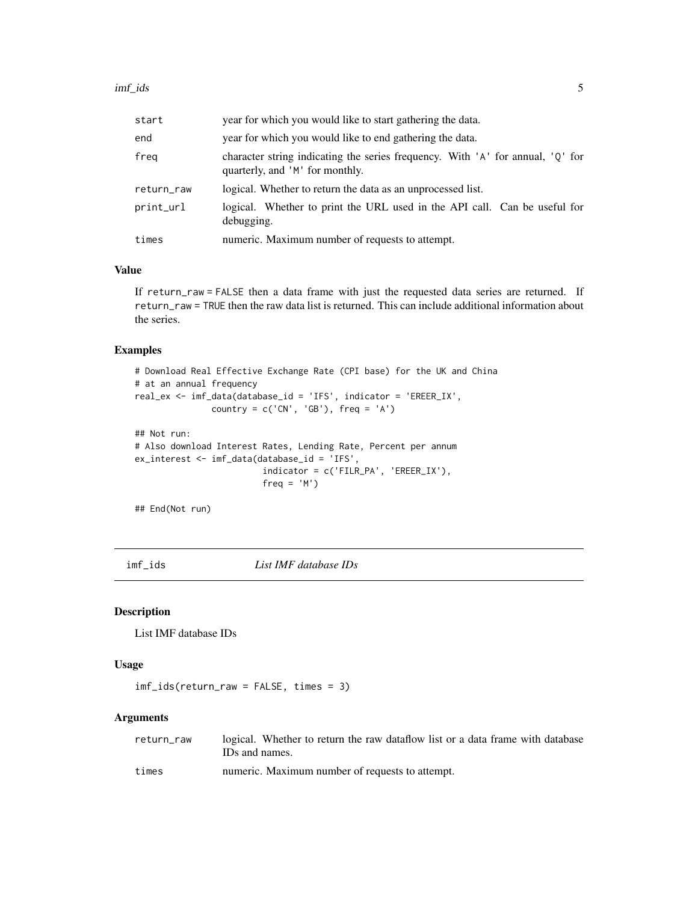<span id="page-4-0"></span>

| start      | year for which you would like to start gathering the data.                                                        |
|------------|-------------------------------------------------------------------------------------------------------------------|
| end        | year for which you would like to end gathering the data.                                                          |
| freg       | character string indicating the series frequency. With 'A' for annual, 'Q' for<br>quarterly, and 'M' for monthly. |
| return_raw | logical. Whether to return the data as an unprocessed list.                                                       |
| print_url  | logical. Whether to print the URL used in the API call. Can be useful for<br>debugging.                           |
| times      | numeric. Maximum number of requests to attempt.                                                                   |

#### Value

If return\_raw = FALSE then a data frame with just the requested data series are returned. If return\_raw = TRUE then the raw data list is returned. This can include additional information about the series.

#### Examples

```
# Download Real Effective Exchange Rate (CPI base) for the UK and China
# at an annual frequency
real_ex <- imf_data(database_id = 'IFS', indicator = 'EREER_IX',
               country = c('CN', 'GB'), freq = 'A')## Not run:
# Also download Interest Rates, Lending Rate, Percent per annum
ex_interest <- imf_data(database_id = 'IFS',
                        indicator = c('FILR_PA', 'EREER_IX'),
                        freq = 'M')
```
## End(Not run)

<span id="page-4-1"></span>imf\_ids *List IMF database IDs*

#### Description

List IMF database IDs

#### Usage

imf\_ids(return\_raw = FALSE, times = 3)

#### Arguments

| return raw | logical. Whether to return the raw data flow list or a data frame with database |
|------------|---------------------------------------------------------------------------------|
|            | IDs and names.                                                                  |
| times      | numeric. Maximum number of requests to attempt.                                 |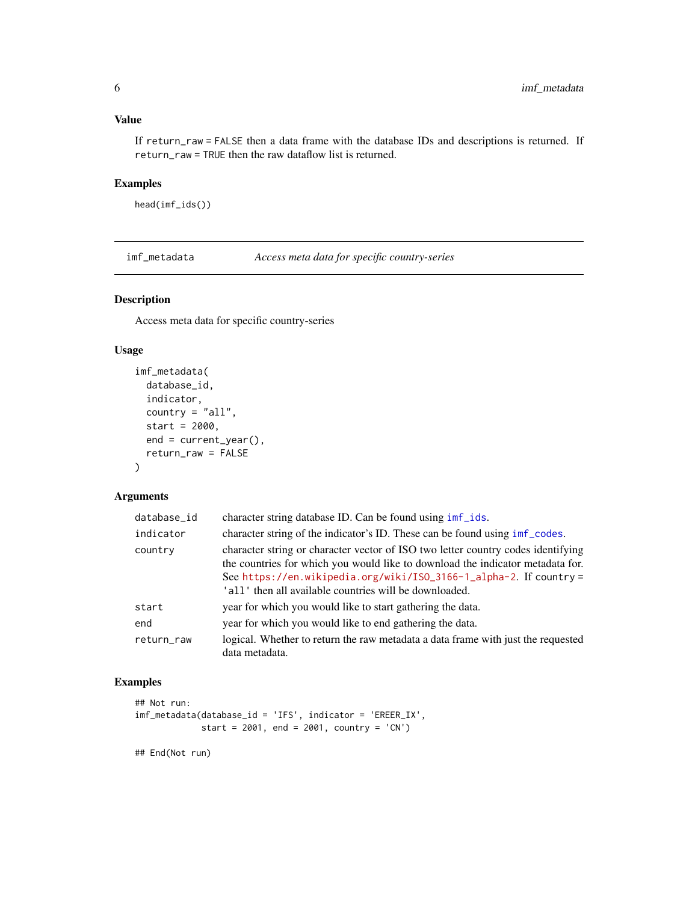#### <span id="page-5-0"></span>Value

If return\_raw = FALSE then a data frame with the database IDs and descriptions is returned. If return\_raw = TRUE then the raw dataflow list is returned.

#### Examples

head(imf\_ids())

imf\_metadata *Access meta data for specific country-series*

#### Description

Access meta data for specific country-series

#### Usage

```
imf_metadata(
 database_id,
  indicator,
 country = "all",start = 2000,
 end = current_year(),
 return_raw = FALSE
)
```
#### Arguments

| database_id | character string database ID. Can be found using imf_ids.                                                                                                                                                                                                                                          |
|-------------|----------------------------------------------------------------------------------------------------------------------------------------------------------------------------------------------------------------------------------------------------------------------------------------------------|
| indicator   | character string of the indicator's ID. These can be found using imf_codes.                                                                                                                                                                                                                        |
| country     | character string or character vector of ISO two letter country codes identifying<br>the countries for which you would like to download the indicator metadata for.<br>See https://en.wikipedia.org/wiki/ISO_3166-1_alpha-2. If country =<br>'all' then all available countries will be downloaded. |
| start       | year for which you would like to start gathering the data.                                                                                                                                                                                                                                         |
| end         | year for which you would like to end gathering the data.                                                                                                                                                                                                                                           |
| return_raw  | logical. Whether to return the raw metadata a data frame with just the requested<br>data metadata.                                                                                                                                                                                                 |

#### Examples

```
## Not run:
imf_metadata(database_id = 'IFS', indicator = 'EREER_IX',
             start = 2001, end = 2001, country = 'CN')
```
## End(Not run)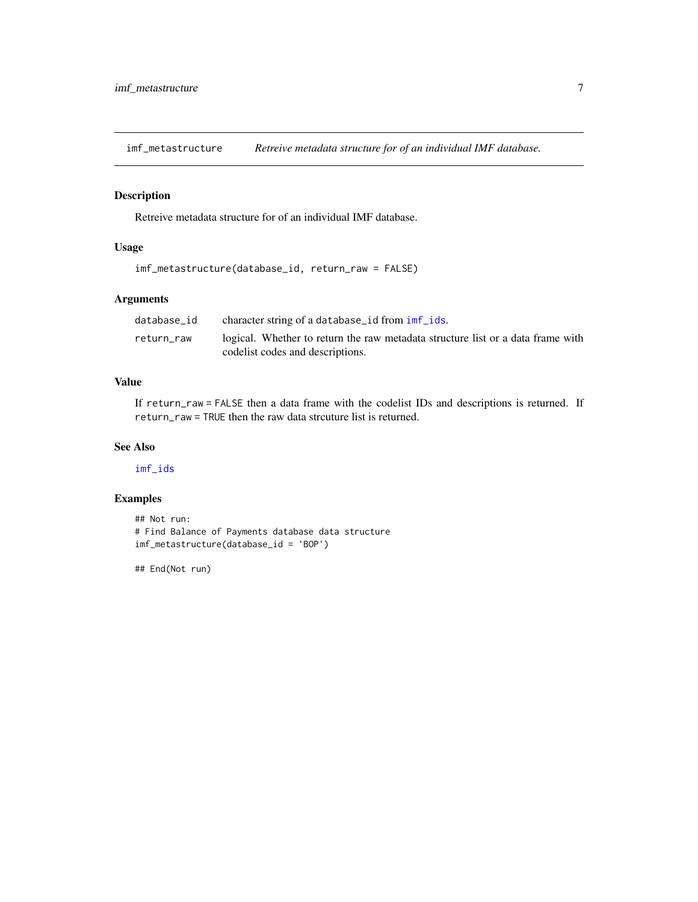<span id="page-6-0"></span>imf\_metastructure *Retreive metadata structure for of an individual IMF database.*

#### Description

Retreive metadata structure for of an individual IMF database.

#### Usage

```
imf_metastructure(database_id, return_raw = FALSE)
```
#### Arguments

| database id | character string of a database_id from imf_ids.                                 |
|-------------|---------------------------------------------------------------------------------|
| return raw  | logical. Whether to return the raw metadata structure list or a data frame with |
|             | codelist codes and descriptions.                                                |

#### Value

If return\_raw = FALSE then a data frame with the codelist IDs and descriptions is returned. If return\_raw = TRUE then the raw data strcuture list is returned.

#### See Also

[imf\\_ids](#page-4-1)

#### Examples

```
## Not run:
# Find Balance of Payments database data structure
imf_metastructure(database_id = 'BOP')
```
## End(Not run)